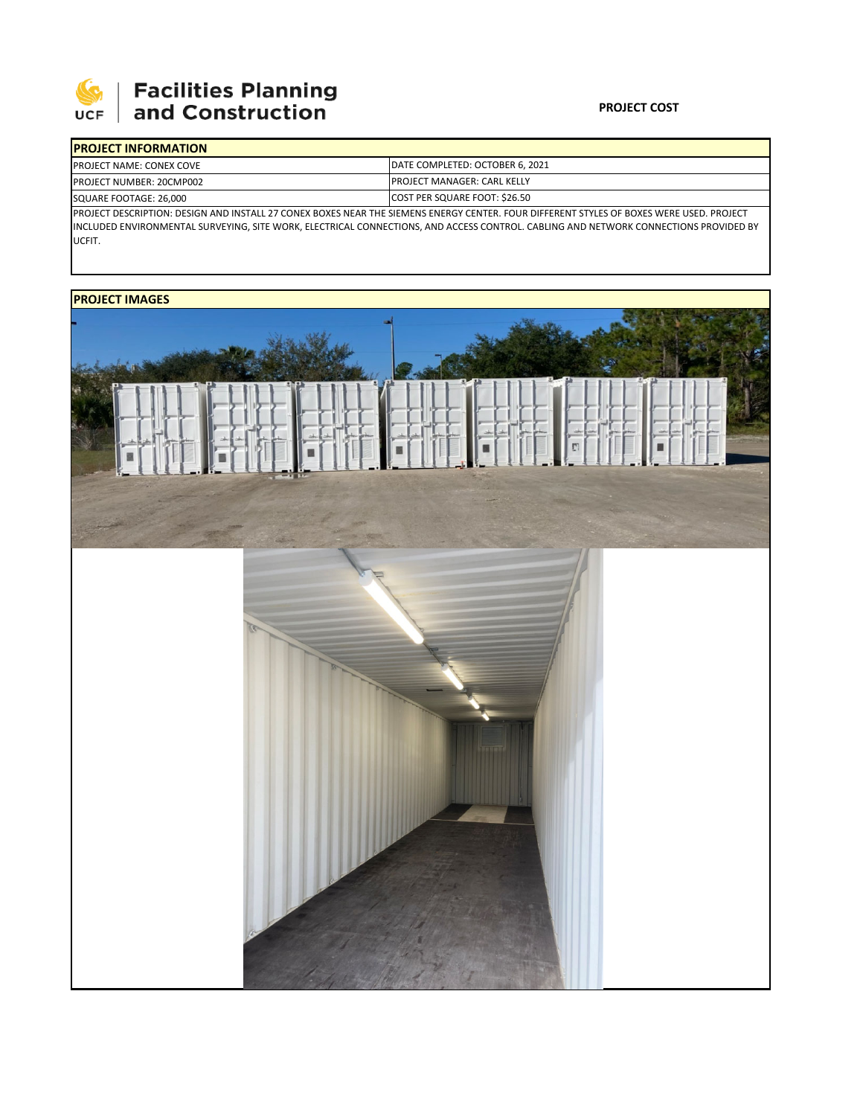

# **Facilities Planning**<br>and Construction

### **PROJECT COST**

|                                                                                                                                           | <b>IPROJECT INFORMATION</b>      |                                                                        |  |  |
|-------------------------------------------------------------------------------------------------------------------------------------------|----------------------------------|------------------------------------------------------------------------|--|--|
|                                                                                                                                           | <b>IPROJECT NAME: CONEX COVE</b> | DATE COMPLETED: OCTOBER 6. 2021<br><b>IPROJECT MANAGER: CARL KELLY</b> |  |  |
|                                                                                                                                           | <b>PROJECT NUMBER: 20CMP002</b>  |                                                                        |  |  |
| SQUARE FOOTAGE: 26.000                                                                                                                    |                                  | COST PER SQUARE FOOT: \$26.50                                          |  |  |
| IPROJECT DESCRIPTION: DESIGN AND INSTALL 27 CONEX BOXES NEAR THE SIEMENS ENERGY CENTER. FOUR DIFFERENT STYLES OF BOXES WERE USED. PROJECT |                                  |                                                                        |  |  |

INCLUDED ENVIRONMENTAL SURVEYING, SITE WORK, ELECTRICAL CONNECTIONS, AND ACCESS CONTROL. CABLING AND NETWORK CONNECTIONS PROVIDED BY UCFIT.

## **PROJECT IMAGES**